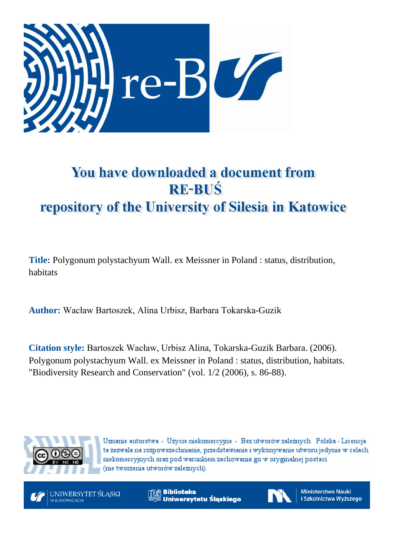

# You have downloaded a document from **RE-BUŚ** repository of the University of Silesia in Katowice

**Title:** Polygonum polystachyum Wall. ex Meissner in Poland : status, distribution, habitats

**Author:** Wacław Bartoszek, Alina Urbisz, Barbara Tokarska-Guzik

**Citation style:** Bartoszek Wacław, Urbisz Alina, Tokarska-Guzik Barbara. (2006). Polygonum polystachyum Wall. ex Meissner in Poland : status, distribution, habitats. "Biodiversity Research and Conservation" (vol. 1/2 (2006), s. 86-88).



Uznanie autorstwa - Użycie niekomercyjne - Bez utworów zależnych Polska - Licencja ta zezwala na rozpowszechnianie, przedstawianie i wykonywanie utworu jedynie w celach niekomercyjnych oraz pod warunkiem zachowania go w oryginalnej postaci (nie tworzenia utworów zależnych).



**Biblioteka** Uniwersytetu Śląskiego



**Ministerstwo Nauki** i Szkolnictwa Wyższego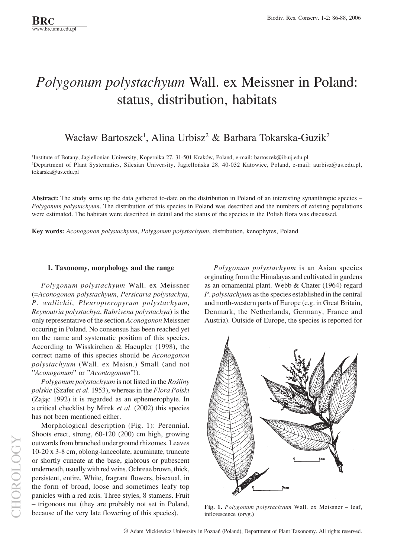## *Polygonum polystachyum* Wall. ex Meissner in Poland: status, distribution, habitats

### Wacław Bartoszek<sup>1</sup>, Alina Urbisz<sup>2</sup> & Barbara Tokarska-Guzik<sup>2</sup>

<sup>1</sup>Institute of Botany, Jagiellonian University, Kopernika 27, 31-501 Kraków, Poland, e-mail: bartoszek@ib.uj.edu.pl <sup>2</sup>Department of Plant Systematics, Silesian University, Jagiellońska 28, 40-032 Katowice, Poland, e-mail: aurbisz@us.edu.pl, tokarska@us.edu.pl

Abstract: The study sums up the data gathered to-date on the distribution in Poland of an interesting synanthropic species – *Polygonum polystachyum*. The distribution of this species in Poland was described and the numbers of existing populations were estimated. The habitats were described in detail and the status of the species in the Polish flora was discussed.

**Key words:** *Aconogonon polystachyum*, *Polygonum polystachyum*, distribution, kenophytes, Poland

#### **1. Taxonomy, morphology and the range**

*Polygonum polystachyum* Wall. ex Meissner (=*Aconogonon polystachyum*, *Persicaria polystachya*, *P. wallichii*, *Pleuropteropyrum polystachyum*, *Reynoutria polystachya*, *Rubrivena polystachya*) is the only representative of the section *Aconogonon* Meissner occuring in Poland. No consensus has been reached yet on the name and systematic position of this species. According to Wisskirchen & Haeupler (1998), the correct name of this species should be *Aconogonon polystachyum* (Wall. ex Meisn.) Small (and not î*Aconogonum*î or î*Acontogonum*î!).

*Polygonum polystachyum* is not listed in the *Roúliny polskie* (Szafer *et al.* 1953), whereas in the *Flora Polski* (Zając 1992) it is regarded as an ephemerophyte. In a critical checklist by Mirek *et al.* (2002) this species has not been mentioned either.

Morphological description (Fig. 1): Perennial. Shoots erect, strong, 60-120 (200) cm high, growing outwards from branched underground rhizomes. Leaves 10-20 x 3-8 cm, oblong-lanceolate, acuminate, truncate or shortly cuneate at the base, glabrous or pubescent underneath, usually with red veins. Ochreae brown, thick, persistent, entire. White, fragrant flowers, bisexual, in the form of broad, loose and sometimes leafy top panicles with a red axis. Three styles, 8 stamens. Fruit – trigonous nut (they are probably not set in Poland, because of the very late flowering of this species).

*Polygonum polystachyum* is an Asian species orginating from the Himalayas and cultivated in gardens as an ornamental plant. Webb & Chater (1964) regard *P. polystachyum* as the species established in the central and north-western parts of Europe (e.g. in Great Britain, Denmark, the Netherlands, Germany, France and Austria). Outside of Europe, the species is reported for



Fig. 1. *Polygonum polystachyum* Wall. ex Meissner – leaf, inflorescence (oryg.)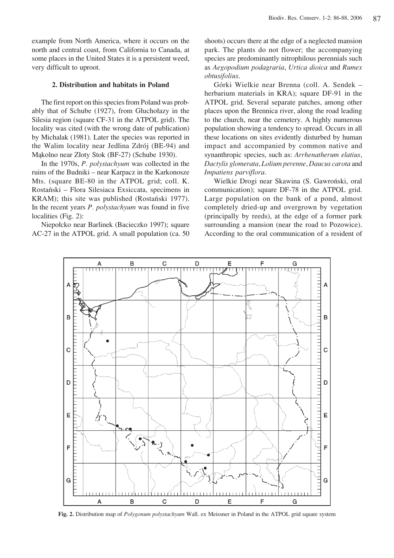example from North America, where it occurs on the north and central coast, from California to Canada, at some places in the United States it is a persistent weed, very difficult to uproot.

#### **2. Distribution and habitats in Poland**

The first report on this species from Poland was probably that of Schube  $(1927)$ , from Głuchołazy in the Silesia region (square CF-31 in the ATPOL grid). The locality was cited (with the wrong date of publication) by Michalak (1981). Later the species was reported in the Walim locality near Jedlina Zdrój (BE-94) and Mąkolno near Złoty Stok (BF-27) (Schube 1930).

In the 1970s, *P. polystachyum* was collected in the ruins of the Budniki – near Karpacz in the Karkonosze Mts. (square BE-80 in the ATPOL grid; coll. K. Rostański – Flora Silesiaca Exsiccata, specimens in KRAM); this site was published (Rostański 1977). In the recent years *P. polystachyum* was found in five localities (Fig. 2):

Niepołcko near Barlinek (Bacieczko 1997); square AC-27 in the ATPOL grid. A small population (ca. 50 shoots) occurs there at the edge of a neglected mansion park. The plants do not flower; the accompanying species are predominantly nitrophilous perennials such as *Aegopodium podagraria*, *Urtica dioica* and *Rumex obtusifolius*.

Górki Wielkie near Brenna (coll. A. Sendek – herbarium materials in KRA); square DF-91 in the ATPOL grid. Several separate patches, among other places upon the Brennica river, along the road leading to the church, near the cemetery. A highly numerous population showing a tendency to spread. Occurs in all these locations on sites evidently disturbed by human impact and accompanied by common native and synanthropic species, such as: *Arrhenatherum elatius*, *Dactylis glomerata*, *Lolium perenne*, *Daucus carota* and *Impatiens parviflora*.

Wielkie Drogi near Skawina (S. Gawroński, oral communication); square DF-78 in the ATPOL grid. Large population on the bank of a pond, almost completely dried-up and overgrown by vegetation (principally by reeds), at the edge of a former park surrounding a mansion (near the road to Pozowice). According to the oral communication of a resident of



**Fig. 2.** Distribution map of *Polygonum polystachyum* Wall. ex Meissner in Poland in the ATPOL grid square system